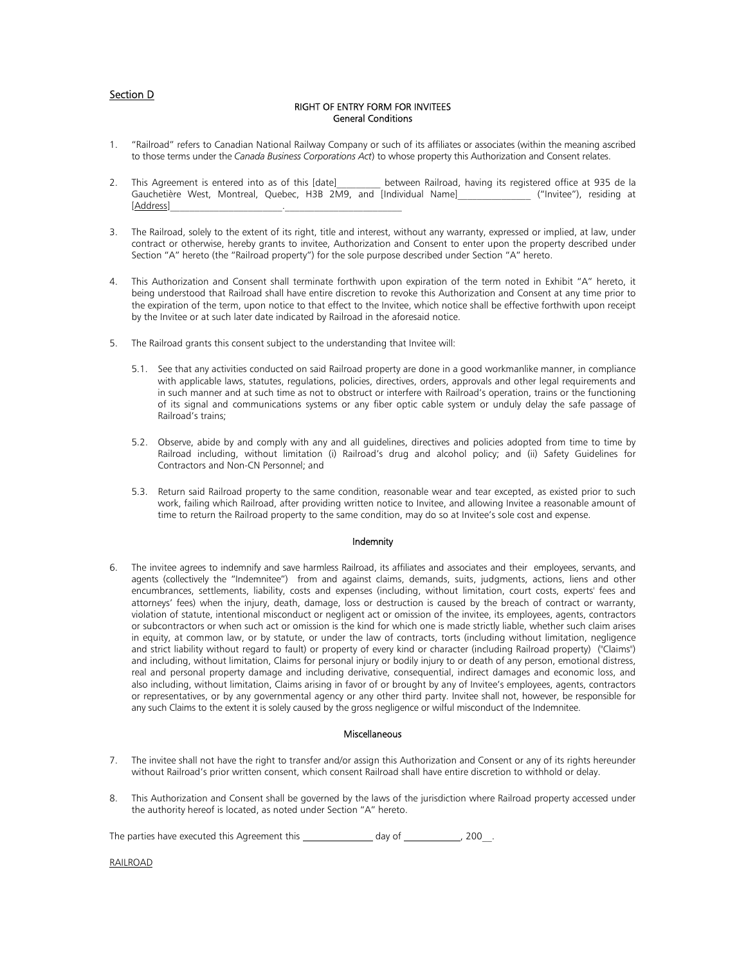## Section D

## RIGHT OF ENTRY FORM FOR INVITEES General Conditions

- 1. "Railroad" refers to Canadian National Railway Company or such of its affiliates or associates (within the meaning ascribed to those terms under the *Canada Business Corporations Act*) to whose property this Authorization and Consent relates.
- 2. This Agreement is entered into as of this [date] between Railroad, having its registered office at 935 de la Gauchetière West, Montreal, Quebec, H3B 2M9, and [Individual Name]\_\_\_\_\_\_\_\_\_\_\_\_\_\_ ("Invitee"), residing at [Address]
- 3. The Railroad, solely to the extent of its right, title and interest, without any warranty, expressed or implied, at law, under contract or otherwise, hereby grants to invitee, Authorization and Consent to enter upon the property described under Section "A" hereto (the "Railroad property") for the sole purpose described under Section "A" hereto.
- This Authorization and Consent shall terminate forthwith upon expiration of the term noted in Exhibit "A" hereto, it being understood that Railroad shall have entire discretion to revoke this Authorization and Consent at any time prior to the expiration of the term, upon notice to that effect to the Invitee, which notice shall be effective forthwith upon receipt by the Invitee or at such later date indicated by Railroad in the aforesaid notice.
- 5. The Railroad grants this consent subject to the understanding that Invitee will:
	- 5.1. See that any activities conducted on said Railroad property are done in a good workmanlike manner, in compliance with applicable laws, statutes, regulations, policies, directives, orders, approvals and other legal requirements and in such manner and at such time as not to obstruct or interfere with Railroad's operation, trains or the functioning of its signal and communications systems or any fiber optic cable system or unduly delay the safe passage of Railroad's trains;
	- 5.2. Observe, abide by and comply with any and all guidelines, directives and policies adopted from time to time by Railroad including, without limitation (i) Railroad's drug and alcohol policy; and (ii) Safety Guidelines for Contractors and Non-CN Personnel; and
	- 5.3. Return said Railroad property to the same condition, reasonable wear and tear excepted, as existed prior to such work, failing which Railroad, after providing written notice to Invitee, and allowing Invitee a reasonable amount of time to return the Railroad property to the same condition, may do so at Invitee's sole cost and expense.

## Indemnity

6. The invitee agrees to indemnify and save harmless Railroad, its affiliates and associates and their employees, servants, and agents (collectively the "Indemnitee") from and against claims, demands, suits, judgments, actions, liens and other encumbrances, settlements, liability, costs and expenses (including, without limitation, court costs, experts' fees and attorneys' fees) when the injury, death, damage, loss or destruction is caused by the breach of contract or warranty, violation of statute, intentional misconduct or negligent act or omission of the invitee, its employees, agents, contractors or subcontractors or when such act or omission is the kind for which one is made strictly liable, whether such claim arises in equity, at common law, or by statute, or under the law of contracts, torts (including without limitation, negligence and strict liability without regard to fault) or property of every kind or character (including Railroad property) ("Claims") and including, without limitation, Claims for personal injury or bodily injury to or death of any person, emotional distress, real and personal property damage and including derivative, consequential, indirect damages and economic loss, and also including, without limitation, Claims arising in favor of or brought by any of Invitee's employees, agents, contractors or representatives, or by any governmental agency or any other third party. Invitee shall not, however, be responsible for any such Claims to the extent it is solely caused by the gross negligence or wilful misconduct of the Indemnitee.

## **Miscellaneous**

- 7. The invitee shall not have the right to transfer and/or assign this Authorization and Consent or any of its rights hereunder without Railroad's prior written consent, which consent Railroad shall have entire discretion to withhold or delay.
- 8. This Authorization and Consent shall be governed by the laws of the jurisdiction where Railroad property accessed under the authority hereof is located, as noted under Section "A" hereto.

The parties have executed this Agreement this  $\frac{1}{2}$  day of  $\frac{1}{2}$  , 200.

RAILROAD